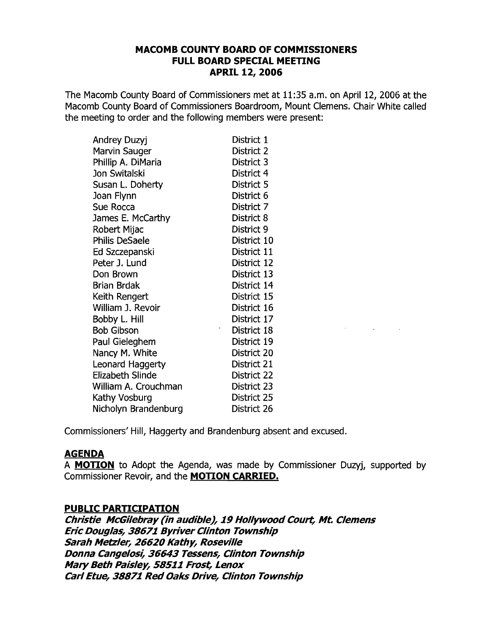### **MACOMB COUNTY BOARD OF COMMISSIONERS FULL BOARD SPECIAL MEETING APRIL 12, 2006**

The Macomb County Board of Commissioners met at 11:35 a.m. on April 12, 2006 at the Macomb County Board of Commissioners Boardroom, Mount Clemens. Chair White called the meeting to order and the following members were present:

| Andrey Duzyj         | District 1  |
|----------------------|-------------|
| Marvin Sauger        | District 2  |
| Phillip A. DiMaria   | District 3  |
| Jon Switalski        | District 4  |
| Susan L. Doherty     | District 5  |
| Joan Flynn           | District 6  |
| Sue Rocca            | District 7  |
| James E. McCarthy    | District 8  |
| Robert Mijac         | District 9  |
| Philis DeSaele       | District 10 |
| Ed Szczepanski       | District 11 |
| Peter J. Lund        | District 12 |
| Don Brown            | District 13 |
| Brian Brdak          | District 14 |
| Keith Rengert        | District 15 |
| William J. Revoir    | District 16 |
| Bobby L. Hill        | District 17 |
| <b>Bob Gibson</b>    | District 18 |
| Paul Gieleghem       | District 19 |
| Nancy M. White       | District 20 |
| Leonard Haggerty     | District 21 |
| Elizabeth Slinde     | District 22 |
| William A. Crouchman | District 23 |
| Kathy Vosburg        | District 25 |
| Nicholyn Brandenburg | District 26 |

Commissioners' Hill, Haggerty and Brandenburg absent and excused.

# **AGENDA**

A **MOTION** to Adopt the Agenda, was made by Commissioner Duzyj, supported by Commissioner Revoir, and the **MOTION CARRIED.** 

 $\sim 10^{10}$  km s  $^{-1}$ 

 $\sim 10$ 

### **PUBLIC PARTICIPATION**

**Christie McGilebray (in audible), 19 Hollywood Court, Mt. Clemens Eric Douglas, 38671 Byriver Clinton Township Sarah Metzler, 26620 Kathy, Roseville Donna Cangelosi, 36643 Tessens, Clinton Township Mary Beth Paisley, 58511 Frost, Lenox Carl Etue, 38871 Red Oaks Drive, Clinton Township**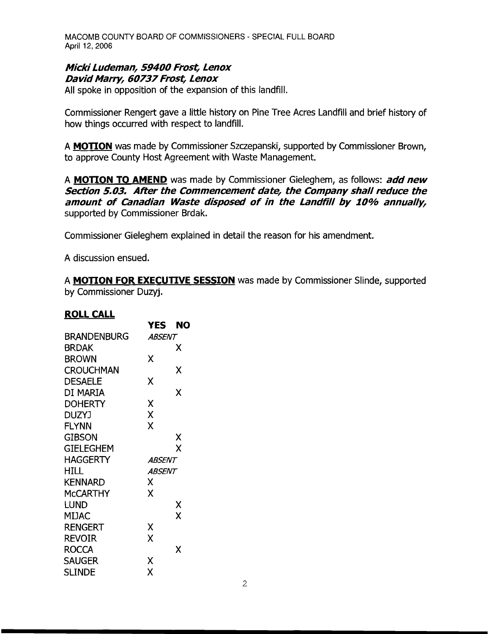### **Micki Ludeman, 59400 Frost, Lenox David Marry, 60737 Frost, Lenox**

All spoke in opposition of the expansion of this landfill.

Commissioner Rengert gave a little history on Pine Tree Acres Landfill and brief history of how things occurred with respect to landfill.

A **MOTION** was made by Commissioner Szczepanski, supported by Commissioner Brown, to approve County Host Agreement with Waste Management.

A **MOTION TO AMEND** was made by Commissioner Gieleghem, as follows: **add new Section 5.03. After the Commencement date, the Company shall reduce the amount of Canadian Waste disposed of in the Landfill by 10% annually,**  supported by Commissioner Brdak.

Commissioner Gieleghem explained in detail the reason for his amendment.

A discussion ensued.

A **MOTION FOR EXECUTIVE SESSION** was made by Commissioner Slinde, supported by Commissioner Duzyj.

#### **ROLL CALL**

|                    | YES           | NO |
|--------------------|---------------|----|
| <b>BRANDENBURG</b> | <i>ABSENT</i> |    |
| BRDAK              |               | X  |
| <b>BROWN</b>       | Χ             |    |
| <b>CROUCHMAN</b>   |               | X  |
| <b>DESAELE</b>     | χ             |    |
| DI MARIA           |               | x  |
| <b>DOHERTY</b>     | χ             |    |
| <b>DUZYJ</b>       | Χ             |    |
| <b>FLYNN</b>       | Χ             |    |
| <b>GIBSON</b>      |               | Χ  |
| <b>GIELEGHEM</b>   |               | X  |
| <b>HAGGERTY</b>    | ABSENT        |    |
| HILL.              | <i>ABSENT</i> |    |
| KENNARD            | X             |    |
| <b>MCCARTHY</b>    | X             |    |
| LUND               |               | Χ  |
| MIJAC              |               | X  |
| <b>RENGERT</b>     | χ             |    |
| REVOIR             | X             |    |
| <b>ROCCA</b>       |               | Χ  |
| SAUGER             | Χ             |    |
| <b>SLINDE</b>      | X             |    |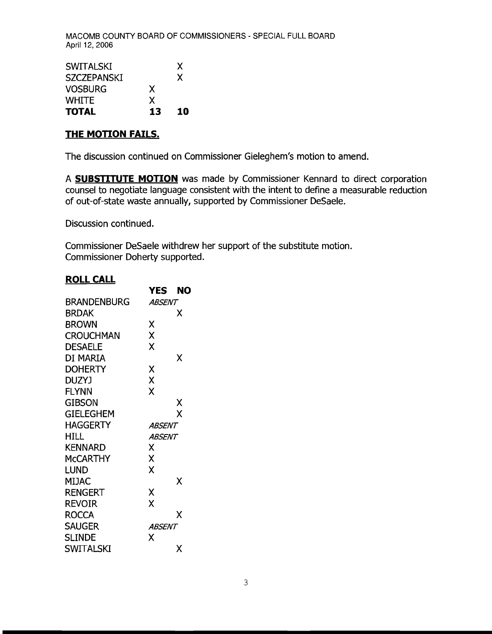| <b>SWITALSKI</b>   |    | X  |
|--------------------|----|----|
| <b>SZCZEPANSKI</b> |    | X  |
| <b>VOSBURG</b>     | X  |    |
| <b>WHITE</b>       | X  |    |
| <b>TOTAL</b>       | 13 | 10 |

#### **THE MOTION FAILS.**

The discussion continued on Commissioner Gieleghem's motion to amend.

A **SUBSTITUTE MOTION** was made by Commissioner Kennard to direct corporation counsel to negotiate language consistent with the intent to define a measurable reduction of out-of-state waste annually, supported by Commissioner DeSaele.

Discussion continued.

Commissioner DeSaele withdrew her support of the substitute motion. Commissioner Doherty supported.

### **ROLLCALL**

|                    | YES.          | NO |
|--------------------|---------------|----|
| <b>BRANDENBURG</b> | ABSENT        |    |
| <b>BRDAK</b>       |               | X  |
| <b>BROWN</b>       | χ             |    |
| <b>CROUCHMAN</b>   | X             |    |
| <b>DESAELE</b>     | X             |    |
| DI MARIA           |               | χ  |
| <b>DOHERTY</b>     | X             |    |
| DUZYJ              | X             |    |
| FLYNN              | X             |    |
| gibson             |               | χ  |
| GIELEGHEM          |               | Χ  |
| HAGGERTY           | ABSENT        |    |
| HILL               | <i>ABSENT</i> |    |
| <b>KENNARD</b>     | Χ             |    |
| <b>MCCARTHY</b>    | X             |    |
| LUND               | X             |    |
| MIJAC              |               | Χ  |
| <b>RENGERT</b>     | X             |    |
| REVOIR             | X             |    |
| <b>ROCCA</b>       |               | χ  |
| <b>SAUGER</b>      | <i>ABSENT</i> |    |
| <b>SLINDE</b>      | x             |    |
| SWITALSKI          |               | x  |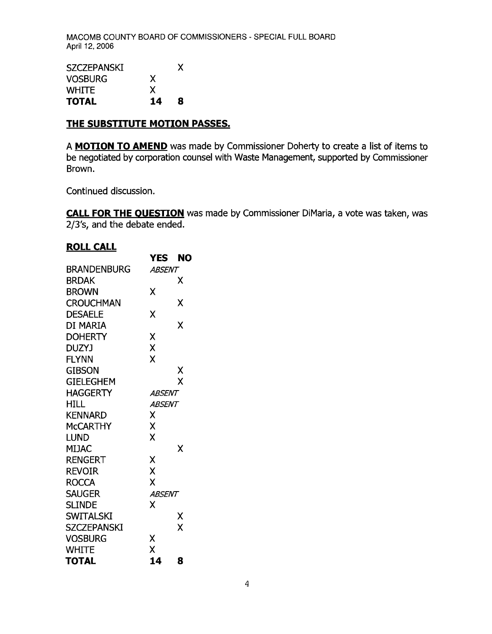| <b>SZCZEPANSKI</b> |    | X |
|--------------------|----|---|
| <b>VOSBURG</b>     | X  |   |
| <b>WHITE</b>       | X  |   |
| <b>TOTAL</b>       | 14 | 8 |

### **THE SUBSTITUTE MOTION PASSES.**

A **MOTION TO AMEND** was made by Commissioner Doherty to create a list of items to be negotiated by corporation counsel with Waste Management, supported by Commissioner Brown.

Continued discussion.

**CALL FOR THE OUESTION** was made by Commissioner DiMaria, a vote was taken, was 2/3's, and the debate ended.

# **ROLL CALL**

| <u>NULL CALL</u>   |               |    |
|--------------------|---------------|----|
|                    | <b>YES</b>    | NO |
| <b>BRANDENBURG</b> | ABSENT        |    |
| <b>BRDAK</b>       |               | Х  |
| <b>BROWN</b>       | χ             |    |
| <b>CROUCHMAN</b>   |               | χ  |
| <b>DESAELE</b>     | Χ             |    |
| DI MARIA           |               | χ  |
| <b>DOHERTY</b>     | X             |    |
| <b>DUZYJ</b>       | X             |    |
| <b>FLYNN</b>       | X             |    |
| GIBSON             |               | χ  |
| <b>GIELEGHEM</b>   |               | Χ  |
| <b>HAGGERTY</b>    | ABSENT        |    |
| HILL               | ABSENT        |    |
| <b>KENNARD</b>     | X             |    |
| <b>MCCARTHY</b>    | X             |    |
| <b>LUND</b>        | X             |    |
| MIJAC              |               | χ  |
| RENGERT            | X             |    |
| REVOIR             | X             |    |
| <b>ROCCA</b>       | X             |    |
| <b>SAUGER</b>      | <b>ABSENT</b> |    |
| <b>SLINDE</b>      | x             |    |
| <b>SWITALSKI</b>   |               | Χ  |
| <b>SZCZEPANSKI</b> |               | X  |
| <b>VOSBURG</b>     | Χ             |    |
| <b>WHITE</b>       | X             |    |
| <b>TOTAL</b>       | 14            | 8  |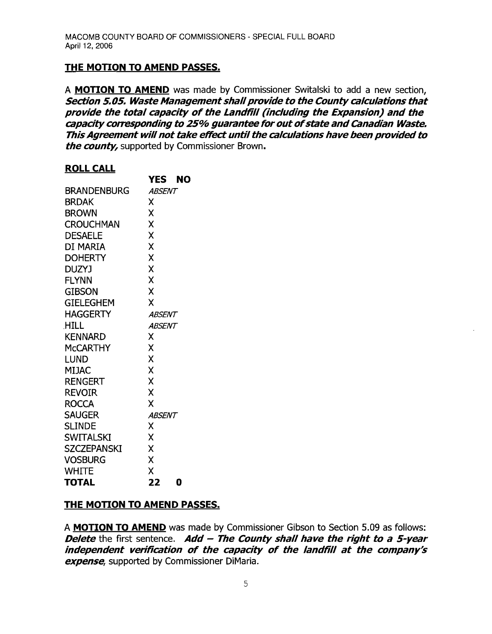### **THE MOTION TO AMEND PASSES.**

**YES NO** 

A **MOTION TO AMEND** was made by Commissioner Switalski to add a new section, **Section 5.05. Waste Management shall provide to the County calculations that provide the total capacity of the Landfill (including the Expansion) and the capacity corresponding to 25% guarantee for outofstate andcanadian Waste. This Agreement will not take effect untilthe calculations have been provided to the county,** supported by Commissioner Brown.

#### **ROLLCALL**

|                    | 1 E.<br>NU    |
|--------------------|---------------|
| BRANDENBURG        | <i>ABSENT</i> |
| <b>BRDAK</b>       | x             |
| <b>BROWN</b>       | Χ             |
| <b>CROUCHMAN</b>   | X             |
| <b>DESAELE</b>     | X             |
| DI MARIA           | X             |
| <b>DOHERTY</b>     | X             |
| <b>DUZYJ</b>       | X             |
| <b>FLYNN</b>       | X             |
| <b>GIBSON</b>      | Χ             |
| <b>GIELEGHEM</b>   | X             |
| <b>HAGGERTY</b>    | ABSENT        |
| <b>HILL</b>        | <i>ABSENT</i> |
| <b>KENNARD</b>     | χ             |
| <b>McCARTHY</b>    | χ             |
| LUND               | X             |
| <b>MIJAC</b>       | X             |
| <b>RENGERT</b>     | Χ             |
| <b>REVOIR</b>      | X             |
| <b>ROCCA</b>       | x             |
| <b>SAUGER</b>      | <b>ABSENT</b> |
| <b>SLINDE</b>      | x             |
| <b>SWITALSKI</b>   | χ             |
| <b>SZCZEPANSKI</b> | χ             |
| <b>VOSBURG</b>     | χ             |
| <b>WHITE</b>       | X             |
| <b>TOTAL</b>       | 22<br>0       |

### **THE MOTION TO AMEND PASSES.**

A **MOTION TO AMEND** was made by Commissioner Gibson to Section 5.09 as follows: **Delete** the first sentence. **Add - The County shall have the right to a 5-year independent verification of the capacity of the landfill at the company's expense,** supported by Commissioner DiMaria.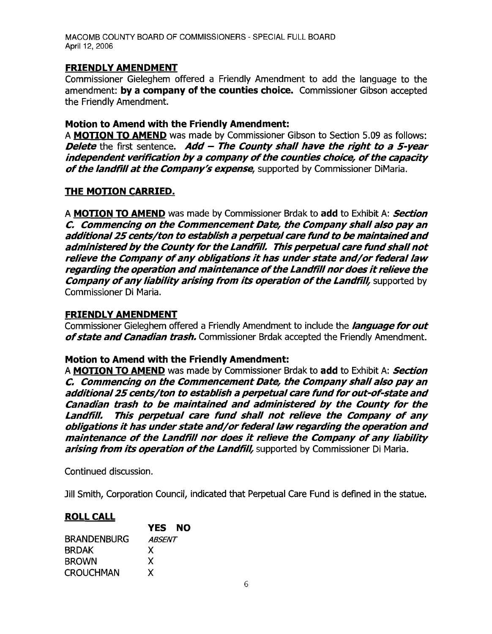### FRIENDLY AMENDMENT

Commissioner Gieleghem offered a Friendly Amendment to add the language to the amendment: by a company of the counties choice. Commissioner Gibson accepted the Friendly Amendment.

### Motion to Amend with the FriendIy Amendment:

A MOTION TO AMEND was made by Commissioner Gibson to Section 5.09 as follows: Delete the first sentence. Add  $-$  The County shall have the right to a 5-year independent verification by a company of the counties choice, of the capacity of the landfill at the Company's expense, supported by Commissioner DiMaria.

### THE MOTION CARRIED.

A **MOTION TO AMEND** was made by Commissioner Brdak to add to Exhibit A: **Section** C. Commencing on the Commencement Date, the Company shall also pay an additional 25 cents/ton to establish a perpetual care fund to be maintained and administered by the County for the Landfill. This perpetual care fund shall not relieve the Company of any obligations it has under state and/or federal law regarding the operation and maintenance of the Landfill nor does it relieve the **Company of any liability arising from its operation of the Landfill, supported by** Commissioner Di Maria.

#### FRIENDLY AMENDMENT

Commissioner Gieleghem offered a Friendly Amendment to include the *language for out* of state and Canadian trash. Commissioner Brdak accepted the Friendly Amendment.

#### Motion to Amend with the Friendly Amendment:

A **MOTION TO AMEND** was made by Commissioner Brdak to add to Exhibit A: **Section** C. Commencing on the Commencement Date, the Company shall also pay an additional 25 cents/ton to establish a perpetual care fund for out-of-state and Canadian trash to be maintained and administered by the County for the Landfill. This perpetual care fund shall not relieve the Company of any obligations it has under state and/or federal law regarding the operation and maintenance of the Landfill nor does it relieve the Company of any liability arising from its operation of the Landfill, supported by Commissioner Di Maria.

Continued discussion.

Jill Smith, Corporation Council, indicated that Perpetual Care Fund is defined in the statue.

#### **ROLL CALL**

|                    | <b>YES NO</b> |  |
|--------------------|---------------|--|
| <b>BRANDENBURG</b> | <i>ABSENT</i> |  |
| <b>BRDAK</b>       | X             |  |
| <b>BROWN</b>       | X             |  |
| CROUCHMAN          | x             |  |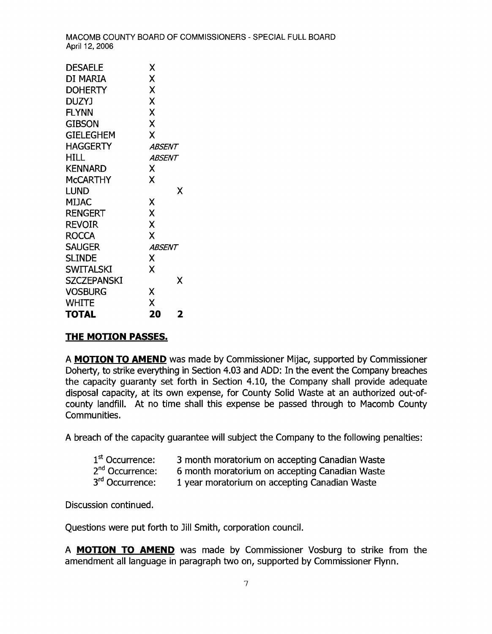| DESAELE            | Χ             |  |
|--------------------|---------------|--|
| di Maria           | X             |  |
| DOHERTY            | X             |  |
| DUZYJ              | X             |  |
| <b>FLYNN</b>       | X             |  |
| gibson             | X             |  |
| <b>GIELEGHEM</b>   | X             |  |
| <b>HAGGERTY</b>    | ABSENT        |  |
| HILL.              | <i>ABSENT</i> |  |
| <b>KENNARD</b>     | X             |  |
| <b>MCCARTHY</b>    | X             |  |
| Lund               | x             |  |
| MIJAC              | Χ             |  |
| RENGERT            | X             |  |
| <b>REVOIR</b>      | Χ             |  |
| <b>ROCCA</b>       | X             |  |
| <b>SAUGER</b>      | ABSENT        |  |
| <b>SLINDE</b>      | X             |  |
| <b>SWITALSKI</b>   | X             |  |
| <b>SZCZEPANSKI</b> | x             |  |
| <b>VOSBURG</b>     | Χ             |  |
| WHITE              | X             |  |
| TOTAL              | 20<br>2       |  |

#### **THE MOTION PASSES.**

A **MOTION TO AMEND** was made by Commissioner Mijac, supported by Commissioner Doherty, to strike everything in Section 4.03 and ADD: In the event the Company breaches the capacity guaranty set forth in Section 4.10, the Company shall provide adequate disposal capacity, at its own expense, for County Solid Waste at an authorized out-ofcounty landfill. At no time shall this expense be passed through to Macomb County Communities.

A breach of the capacity guarantee will subject the Company to the following penalties:

| 1 <sup>st</sup> Occurrence: | 3 month moratorium on accepting Canadian Waste |
|-----------------------------|------------------------------------------------|
| 2 <sup>nd</sup> Occurrence: | 6 month moratorium on accepting Canadian Waste |
| 3 <sup>rd</sup> Occurrence: | 1 year moratorium on accepting Canadian Waste  |

Discussion continued.

Questions were put forth to Jill Smith, corporation council.

A **MOTION TO AMEND** was made by Commissioner Vosburg to strike from the amendment all language in paragraph two on, supported by Commissioner Flynn.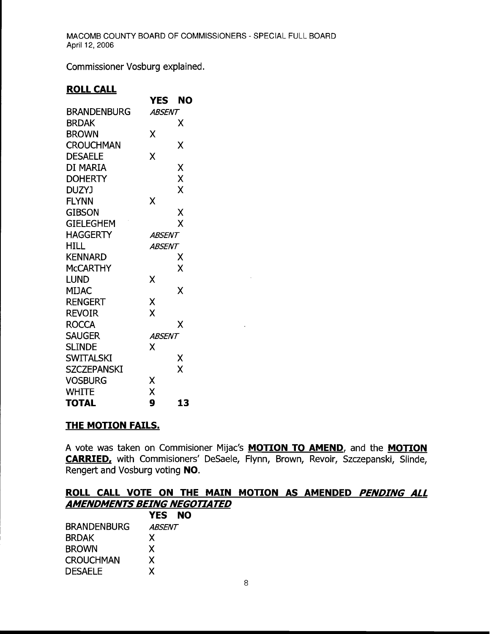Commissioner Vosburg explained.

### **ROLL CALL**

|                    | <b>YES</b>    | NO |
|--------------------|---------------|----|
| <b>BRANDENBURG</b> | <i>ABSENT</i> |    |
| <b>BRDAK</b>       |               | x  |
| <b>BROWN</b>       | χ             |    |
| <b>CROUCHMAN</b>   |               | χ  |
| <b>DESAELE</b>     | Χ             |    |
| di Maria           |               | Χ  |
| <b>DOHERTY</b>     |               | X  |
| <b>DUZYJ</b>       |               | X  |
| <b>FLYNN</b>       | χ             |    |
| GIBSON             |               | Χ  |
| <b>GIELEGHEM</b>   |               | X  |
| HAGGERTY           | ABSENT        |    |
| HILL.              | ABSENT        |    |
| <b>KENNARD</b>     |               | χ  |
| <b>MCCARTHY</b>    |               | χ  |
| LUND               | X             |    |
| <b>MIJAC</b>       |               | x  |
| RENGERT            | Χ             |    |
| REVOIR             | X             |    |
| <b>ROCCA</b>       |               | χ  |
| <b>SAUGER</b>      | <i>ABSENT</i> |    |
| <b>SLINDE</b>      | χ             |    |
| <b>SWITALSKI</b>   |               | Χ  |
| <b>SZCZEPANSKI</b> |               | X  |
| <b>VOSBURG</b>     | Χ             |    |
| WHITE              | X             |    |
| <b>TOTAL</b>       | 9             | 13 |

### **THE MOTION FAILS.**

A vote was taken on Commisioner Mijac's **MOTION TO AMEND,** and the **MOTION CARRIED,** with Commisioners' DeSaele, Flynn, Brown, Revoir, Szczepanski, Slinde, Rengert and Vosburg voting **NO.** 

## **ROLL CALL VOTE ON THE MAIN MOTION AS AMENDED** *PENDING ALL AMENDMENTS BEING NEGOTIATED*

|                    | YES NO        |  |
|--------------------|---------------|--|
| <b>BRANDENBURG</b> | <i>ABSENT</i> |  |
| <b>BRDAK</b>       | X             |  |
| <b>BROWN</b>       | X             |  |
| <b>CROUCHMAN</b>   | X             |  |
| <b>DESAELE</b>     | χ             |  |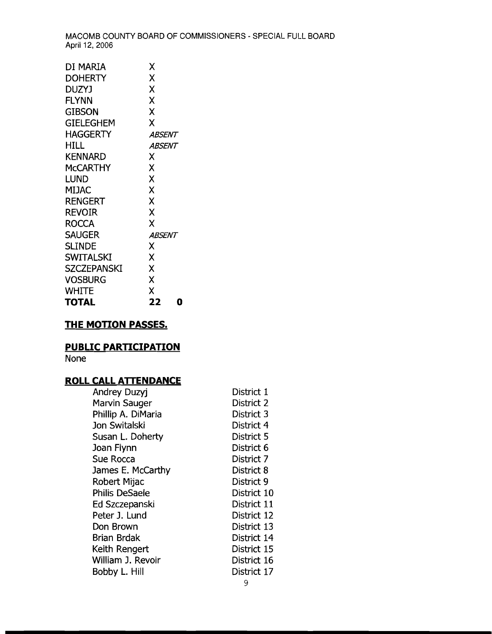| χ             |
|---------------|
|               |
| X             |
| χ             |
| X             |
| X             |
| Χ             |
| ABSENT        |
| <b>ABSENT</b> |
| x             |
| X             |
| X             |
| Χ             |
| Χ             |
| X             |
| X             |
| <b>ABSENT</b> |
| x             |
| Χ             |
| X             |
| X             |
| χ             |
| 22<br>D       |
|               |

## **THE MOTION PASSES.**

## **PUBLIC PARTICIPATION**

None

# **ROLL CALL ATTENDANCE**

| Andrey Duzyj          | District 1  |
|-----------------------|-------------|
| <b>Marvin Sauger</b>  | District 2  |
| Phillip A. DiMaria    | District 3  |
| Jon Switalski         | District 4  |
| Susan L. Doherty      | District 5  |
| Joan Flynn            | District 6  |
| Sue Rocca             | District 7  |
| James E. McCarthy     | District 8  |
| Robert Mijac          | District 9  |
| <b>Philis DeSaele</b> | District 10 |
| Ed Szczepanski        | District 11 |
| Peter J. Lund         | District 12 |
| Don Brown             | District 13 |
| Brian Brdak           | District 14 |
| Keith Rengert         | District 15 |
| William J. Revoir     | District 16 |
| Bobby L. Hill         | District 17 |